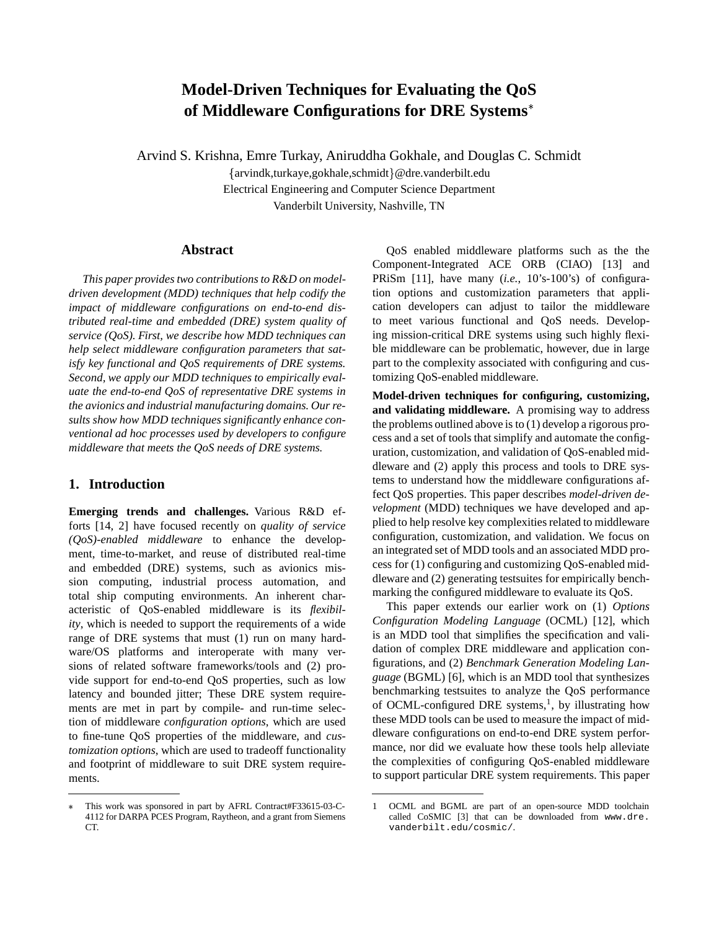# **Model-Driven Techniques for Evaluating the QoS of Middleware Configurations for DRE Systems**

Arvind S. Krishna, Emre Turkay, Aniruddha Gokhale, and Douglas C. Schmidt

{arvindk,turkaye,gokhale,schmidt}@dre.vanderbilt.edu Electrical Engineering and Computer Science Department Vanderbilt University, Nashville, TN

#### **Abstract**

*This paper provides two contributions to R&D on modeldriven development (MDD) techniques that help codify the impact of middleware configurations on end-to-end distributed real-time and embedded (DRE) system quality of service (QoS). First, we describe how MDD techniques can help select middleware configuration parameters that satisfy key functional and QoS requirements of DRE systems. Second, we apply our MDD techniques to empirically evaluate the end-to-end QoS of representative DRE systems in the avionics and industrial manufacturing domains. Our results show how MDD techniques significantly enhance conventional ad hoc processes used by developers to configure middleware that meets the QoS needs of DRE systems.*

## **1. Introduction**

**Emerging trends and challenges.** Various R&D efforts [14, 2] have focused recently on *quality of service (QoS)-enabled middleware* to enhance the development, time-to-market, and reuse of distributed real-time and embedded (DRE) systems, such as avionics mission computing, industrial process automation, and total ship computing environments. An inherent characteristic of QoS-enabled middleware is its *flexibility*, which is needed to support the requirements of a wide range of DRE systems that must (1) run on many hardware/OS platforms and interoperate with many versions of related software frameworks/tools and (2) provide support for end-to-end QoS properties, such as low latency and bounded jitter; These DRE system requirements are met in part by compile- and run-time selection of middleware *configuration options*, which are used to fine-tune QoS properties of the middleware, and *customization options*, which are used to tradeoff functionality and footprint of middleware to suit DRE system requirements.

 This work was sponsored in part by AFRL Contract#F33615-03-C-4112 for DARPA PCES Program, Raytheon, and a grant from Siemens CT.

QoS enabled middleware platforms such as the the Component-Integrated ACE ORB (CIAO) [13] and PRiSm [11], have many (*i.e.*, 10's-100's) of configuration options and customization parameters that application developers can adjust to tailor the middleware to meet various functional and QoS needs. Developing mission-critical DRE systems using such highly flexible middleware can be problematic, however, due in large part to the complexity associated with configuring and customizing QoS-enabled middleware.

**Model-driven techniques for configuring, customizing, and validating middleware.** A promising way to address the problems outlined above is to (1) develop a rigorous process and a set of tools that simplify and automate the configuration, customization, and validation of QoS-enabled middleware and (2) apply this process and tools to DRE systems to understand how the middleware configurations affect QoS properties. This paper describes *model-driven development* (MDD) techniques we have developed and applied to help resolve key complexities related to middleware configuration, customization, and validation. We focus on an integrated set of MDD tools and an associated MDD process for (1) configuring and customizing QoS-enabled middleware and (2) generating testsuites for empirically benchmarking the configured middleware to evaluate its QoS.

This paper extends our earlier work on (1) *Options Configuration Modeling Language* (OCML) [12], which is an MDD tool that simplifies the specification and validation of complex DRE middleware and application configurations, and (2) *Benchmark Generation Modeling Language* (BGML) [6], which is an MDD tool that synthesizes benchmarking testsuites to analyze the QoS performance of OCML-configured DRE systems,<sup>1</sup>, by illustrating how these MDD tools can be used to measure the impact of middleware configurations on end-to-end DRE system performance, nor did we evaluate how these tools help alleviate the complexities of configuring QoS-enabled middleware to support particular DRE system requirements. This paper

<sup>1</sup> OCML and BGML are part of an open-source MDD toolchain called CoSMIC [3] that can be downloaded from www.dre. vanderbilt.edu/cosmic/.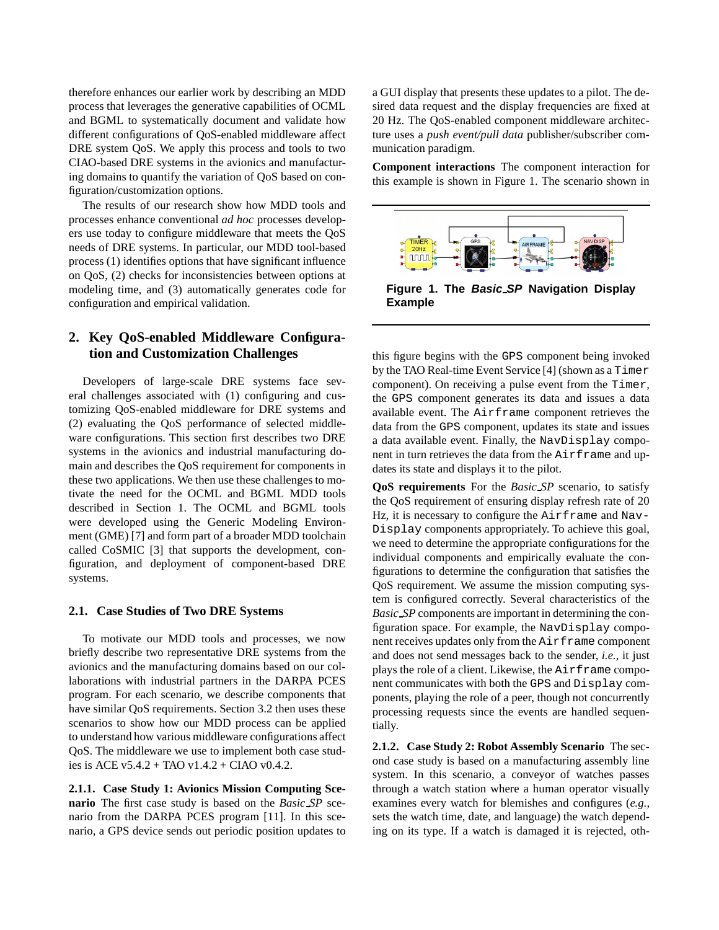therefore enhances our earlier work by describing an MDD process that leverages the generative capabilities of OCML and BGML to systematically document and validate how different configurations of QoS-enabled middleware affect DRE system QoS. We apply this process and tools to two CIAO-based DRE systems in the avionics and manufacturing domains to quantify the variation of QoS based on configuration/customization options.

The results of our research show how MDD tools and processes enhance conventional *ad hoc* processes developers use today to configure middleware that meets the QoS needs of DRE systems. In particular, our MDD tool-based process (1) identifies options that have significant influence on QoS, (2) checks for inconsistencies between options at modeling time, and (3) automatically generates code for configuration and empirical validation.

# **2. Key QoS-enabled Middleware Configuration and Customization Challenges**

Developers of large-scale DRE systems face several challenges associated with (1) configuring and customizing QoS-enabled middleware for DRE systems and (2) evaluating the QoS performance of selected middleware configurations. This section first describes two DRE systems in the avionics and industrial manufacturing domain and describes the QoS requirement for components in these two applications. We then use these challenges to motivate the need for the OCML and BGML MDD tools described in Section 1. The OCML and BGML tools were developed using the Generic Modeling Environment (GME) [7] and form part of a broader MDD toolchain called CoSMIC [3] that supports the development, configuration, and deployment of component-based DRE systems.

#### **2.1. Case Studies of Two DRE Systems**

To motivate our MDD tools and processes, we now briefly describe two representative DRE systems from the avionics and the manufacturing domains based on our collaborations with industrial partners in the DARPA PCES program. For each scenario, we describe components that have similar QoS requirements. Section 3.2 then uses these scenarios to show how our MDD process can be applied to understand how various middleware configurations affect QoS. The middleware we use to implement both case studies is ACE v5.4.2 + TAO v1.4.2 + CIAO v0.4.2.

**2.1.1. Case Study 1: Avionics Mission Computing Scenario** The first case study is based on the *Basic SP* scenario from the DARPA PCES program [11]. In this scenario, a GPS device sends out periodic position updates to a GUI display that presents these updates to a pilot. The desired data request and the display frequencies are fixed at 20 Hz. The QoS-enabled component middleware architecture uses a *push event/pull data* publisher/subscriber communication paradigm.

**Component interactions** The component interaction for this example is shown in Figure 1. The scenario shown in



**Figure 1. The Basic SP Navigation Display Example**

this figure begins with the GPS component being invoked by the TAO Real-time Event Service [4] (shown as a Timer component). On receiving a pulse event from the Timer, the GPS component generates its data and issues a data available event. The Airframe component retrieves the data from the GPS component, updates its state and issues a data available event. Finally, the NavDisplay component in turn retrieves the data from the Airframe and updates its state and displays it to the pilot.

**QoS requirements** For the *Basic SP* scenario, to satisfy the QoS requirement of ensuring display refresh rate of 20 Hz, it is necessary to configure the Airframe and Nav-Display components appropriately. To achieve this goal, we need to determine the appropriate configurations for the individual components and empirically evaluate the configurations to determine the configuration that satisfies the QoS requirement. We assume the mission computing system is configured correctly. Several characteristics of the *Basic SP* components are important in determining the configuration space. For example, the NavDisplay component receives updates only from the Airframe component and does not send messages back to the sender, *i.e.*, it just plays the role of a client. Likewise, the Airframe component communicates with both the GPS and Display components, playing the role of a peer, though not concurrently processing requests since the events are handled sequentially.

**2.1.2. Case Study 2: Robot Assembly Scenario** The second case study is based on a manufacturing assembly line system. In this scenario, a conveyor of watches passes through a watch station where a human operator visually examines every watch for blemishes and configures (*e.g.*, sets the watch time, date, and language) the watch depending on its type. If a watch is damaged it is rejected, oth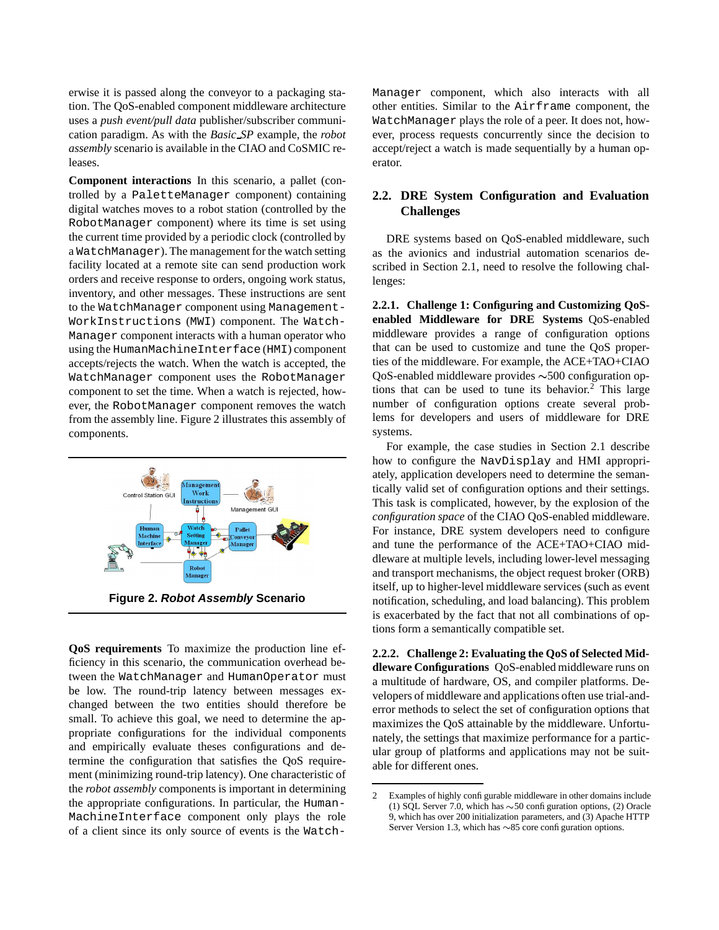erwise it is passed along the conveyor to a packaging station. The QoS-enabled component middleware architecture uses a *push event/pull data* publisher/subscriber communication paradigm. As with the *Basic SP* example, the *robot assembly* scenario is available in the CIAO and CoSMIC releases.

**Component interactions** In this scenario, a pallet (controlled by a PaletteManager component) containing digital watches moves to a robot station (controlled by the RobotManager component) where its time is set using the current time provided by a periodic clock (controlled by a WatchManager). The management for the watch setting facility located at a remote site can send production work orders and receive response to orders, ongoing work status, inventory, and other messages. These instructions are sent to the WatchManager component using Management-WorkInstructions (MWI) component. The Watch-Manager component interacts with a human operator who using the HumanMachineInterface (HMI) component accepts/rejects the watch. When the watch is accepted, the WatchManager component uses the RobotManager component to set the time. When a watch is rejected, however, the RobotManager component removes the watch from the assembly line. Figure 2 illustrates this assembly of components.



**Figure 2. Robot Assembly Scenario**

**QoS requirements** To maximize the production line efficiency in this scenario, the communication overhead between the WatchManager and HumanOperator must be low. The round-trip latency between messages exchanged between the two entities should therefore be small. To achieve this goal, we need to determine the appropriate configurations for the individual components and empirically evaluate theses configurations and determine the configuration that satisfies the QoS requirement (minimizing round-trip latency). One characteristic of the *robot assembly* components is important in determining the appropriate configurations. In particular, the Human-MachineInterface component only plays the role of a client since its only source of events is the Watch-

Manager component, which also interacts with all other entities. Similar to the Airframe component, the WatchManager plays the role of a peer. It does not, however, process requests concurrently since the decision to accept/reject a watch is made sequentially by a human operator.

## **2.2. DRE System Configuration and Evaluation Challenges**

DRE systems based on QoS-enabled middleware, such as the avionics and industrial automation scenarios described in Section 2.1, need to resolve the following challenges:

**2.2.1. Challenge 1: Configuring and Customizing QoSenabled Middleware for DRE Systems** QoS-enabled middleware provides a range of configuration options that can be used to customize and tune the QoS properties of the middleware. For example, the ACE+TAO+CIAO QoS-enabled middleware provides  $\sim$  500 configuration options that can be used to tune its behavior. <sup>2</sup> This large number of configuration options create several problems for developers and users of middleware for DRE systems.

For example, the case studies in Section 2.1 describe how to configure the NavDisplay and HMI appropriately, application developers need to determine the semantically valid set of configuration options and their settings. This task is complicated, however, by the explosion of the *configuration space* of the CIAO QoS-enabled middleware. For instance, DRE system developers need to configure and tune the performance of the ACE+TAO+CIAO middleware at multiple levels, including lower-level messaging and transport mechanisms, the object request broker (ORB) itself, up to higher-level middleware services (such as event notification, scheduling, and load balancing). This problem is exacerbated by the fact that not all combinations of options form a semantically compatible set.

**2.2.2. Challenge 2: Evaluating the QoS of Selected Middleware Configurations** QoS-enabled middleware runs on a multitude of hardware, OS, and compiler platforms. Developers of middleware and applications often use trial-anderror methods to select the set of configuration options that maximizes the QoS attainable by the middleware. Unfortunately, the settings that maximize performance for a particular group of platforms and applications may not be suitable for different ones.

<sup>2</sup> Examples of highly configurable middleware in other domains include (1) SQL Server 7.0, which has  $\sim$  50 configuration options, (2) Oracle 9, which has over 200 initialization parameters, and (3) Apache HTTP Server Version 1.3, which has  $\sim 85$  core configuration options.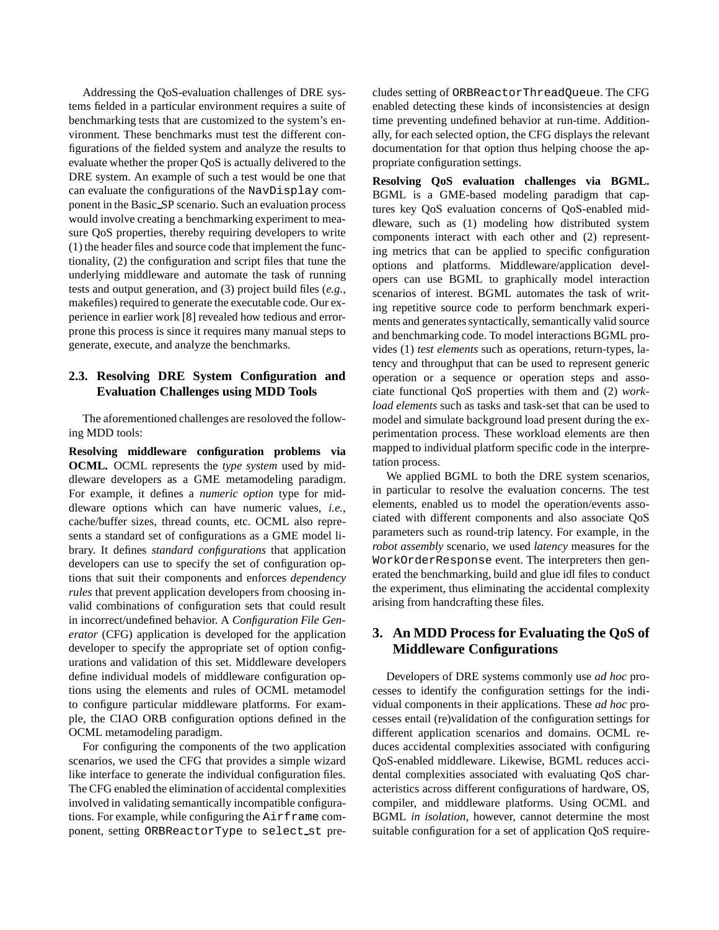Addressing the QoS-evaluation challenges of DRE systems fielded in a particular environment requires a suite of benchmarking tests that are customized to the system's environment. These benchmarks must test the different configurations of the fielded system and analyze the results to evaluate whether the proper QoS is actually delivered to the DRE system. An example of such a test would be one that can evaluate the configurations of the NavDisplay component in the Basic SP scenario. Such an evaluation process would involve creating a benchmarking experiment to measure QoS properties, thereby requiring developers to write (1) the header files and source code that implement the functionality, (2) the configuration and script files that tune the underlying middleware and automate the task of running tests and output generation, and (3) project build files (*e.g.*, makefiles) required to generate the executable code. Our experience in earlier work [8] revealed how tedious and errorprone this process is since it requires many manual steps to generate, execute, and analyze the benchmarks.

## **2.3. Resolving DRE System Configuration and Evaluation Challenges using MDD Tools**

The aforementioned challenges are resoloved the following MDD tools:

**Resolving middleware configuration problems via OCML.** OCML represents the *type system* used by middleware developers as a GME metamodeling paradigm. For example, it defines a *numeric option* type for middleware options which can have numeric values, *i.e.*, cache/buffer sizes, thread counts, etc. OCML also represents a standard set of configurations as a GME model library. It defines *standard configurations* that application developers can use to specify the set of configuration options that suit their components and enforces *dependency rules* that prevent application developers from choosing invalid combinations of configuration sets that could result in incorrect/undefined behavior. A *Configuration File Generator* (CFG) application is developed for the application developer to specify the appropriate set of option configurations and validation of this set. Middleware developers define individual models of middleware configuration options using the elements and rules of OCML metamodel to configure particular middleware platforms. For example, the CIAO ORB configuration options defined in the OCML metamodeling paradigm.

For configuring the components of the two application scenarios, we used the CFG that provides a simple wizard like interface to generate the individual configuration files. The CFG enabled the elimination of accidental complexities involved in validating semantically incompatible configurations. For example, while configuring the Airframe component, setting ORBReactorType to select st pre-

cludes setting of ORBReactorThreadQueue. The CFG enabled detecting these kinds of inconsistencies at design time preventing undefined behavior at run-time. Additionally, for each selected option, the CFG displays the relevant documentation for that option thus helping choose the appropriate configuration settings.

**Resolving QoS evaluation challenges via BGML.** BGML is a GME-based modeling paradigm that captures key QoS evaluation concerns of QoS-enabled middleware, such as (1) modeling how distributed system components interact with each other and (2) representing metrics that can be applied to specific configuration options and platforms. Middleware/application developers can use BGML to graphically model interaction scenarios of interest. BGML automates the task of writing repetitive source code to perform benchmark experiments and generates syntactically, semantically valid source and benchmarking code. To model interactions BGML provides (1) *test elements* such as operations, return-types, latency and throughput that can be used to represent generic operation or a sequence or operation steps and associate functional QoS properties with them and (2) *workload elements* such as tasks and task-set that can be used to model and simulate background load present during the experimentation process. These workload elements are then mapped to individual platform specific code in the interpretation process.

We applied BGML to both the DRE system scenarios, in particular to resolve the evaluation concerns. The test elements, enabled us to model the operation/events associated with different components and also associate QoS parameters such as round-trip latency. For example, in the *robot assembly* scenario, we used *latency* measures for the WorkOrderResponse event. The interpreters then generated the benchmarking, build and glue idl files to conduct the experiment, thus eliminating the accidental complexity arising from handcrafting these files.

# **3. An MDD Process for Evaluating the QoS of Middleware Configurations**

Developers of DRE systems commonly use *ad hoc* processes to identify the configuration settings for the individual components in their applications. These *ad hoc* processes entail (re)validation of the configuration settings for different application scenarios and domains. OCML reduces accidental complexities associated with configuring QoS-enabled middleware. Likewise, BGML reduces accidental complexities associated with evaluating QoS characteristics across different configurations of hardware, OS, compiler, and middleware platforms. Using OCML and BGML *in isolation*, however, cannot determine the most suitable configuration for a set of application QoS require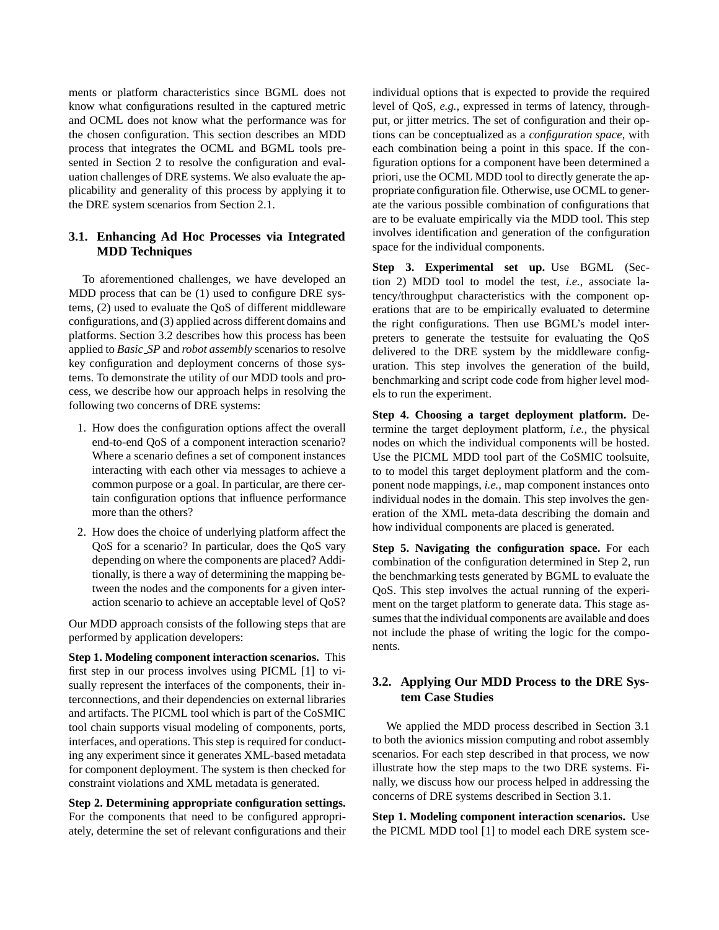ments or platform characteristics since BGML does not know what configurations resulted in the captured metric and OCML does not know what the performance was for the chosen configuration. This section describes an MDD process that integrates the OCML and BGML tools presented in Section 2 to resolve the configuration and evaluation challenges of DRE systems. We also evaluate the applicability and generality of this process by applying it to the DRE system scenarios from Section 2.1.

## **3.1. Enhancing Ad Hoc Processes via Integrated MDD Techniques**

To aforementioned challenges, we have developed an MDD process that can be (1) used to configure DRE systems, (2) used to evaluate the QoS of different middleware configurations, and (3) applied across different domains and platforms. Section 3.2 describes how this process has been applied to *Basic SP* and *robot assembly* scenarios to resolve key configuration and deployment concerns of those systems. To demonstrate the utility of our MDD tools and process, we describe how our approach helps in resolving the following two concerns of DRE systems:

- 1. How does the configuration options affect the overall end-to-end QoS of a component interaction scenario? Where a scenario defines a set of component instances interacting with each other via messages to achieve a common purpose or a goal. In particular, are there certain configuration options that influence performance more than the others?
- 2. How does the choice of underlying platform affect the QoS for a scenario? In particular, does the QoS vary depending on where the components are placed? Additionally, is there a way of determining the mapping between the nodes and the components for a given interaction scenario to achieve an acceptable level of QoS?

Our MDD approach consists of the following steps that are performed by application developers:

**Step 1. Modeling component interaction scenarios.** This first step in our process involves using PICML [1] to visually represent the interfaces of the components, their interconnections, and their dependencies on external libraries and artifacts. The PICML tool which is part of the CoSMIC tool chain supports visual modeling of components, ports, interfaces, and operations. This step is required for conducting any experiment since it generates XML-based metadata for component deployment. The system is then checked for constraint violations and XML metadata is generated.

**Step 2. Determining appropriate configuration settings.** For the components that need to be configured appropriately, determine the set of relevant configurations and their individual options that is expected to provide the required level of QoS, *e.g.*, expressed in terms of latency, throughput, or jitter metrics. The set of configuration and their options can be conceptualized as a *configuration space*, with each combination being a point in this space. If the configuration options for a component have been determined a priori, use the OCML MDD tool to directly generate the appropriate configuration file. Otherwise, use OCML to generate the various possible combination of configurations that are to be evaluate empirically via the MDD tool. This step involves identification and generation of the configuration space for the individual components.

**Step 3. Experimental set up.** Use BGML (Section 2) MDD tool to model the test, *i.e.*, associate latency/throughput characteristics with the component operations that are to be empirically evaluated to determine the right configurations. Then use BGML's model interpreters to generate the testsuite for evaluating the QoS delivered to the DRE system by the middleware configuration. This step involves the generation of the build, benchmarking and script code code from higher level models to run the experiment.

**Step 4. Choosing a target deployment platform.** Determine the target deployment platform, *i.e.*, the physical nodes on which the individual components will be hosted. Use the PICML MDD tool part of the CoSMIC toolsuite, to to model this target deployment platform and the component node mappings, *i.e.*, map component instances onto individual nodes in the domain. This step involves the generation of the XML meta-data describing the domain and how individual components are placed is generated.

**Step 5. Navigating the configuration space.** For each combination of the configuration determined in Step 2, run the benchmarking tests generated by BGML to evaluate the QoS. This step involves the actual running of the experiment on the target platform to generate data. This stage assumes that the individual components are available and does not include the phase of writing the logic for the components.

## **3.2. Applying Our MDD Process to the DRE System Case Studies**

We applied the MDD process described in Section 3.1 to both the avionics mission computing and robot assembly scenarios. For each step described in that process, we now illustrate how the step maps to the two DRE systems. Finally, we discuss how our process helped in addressing the concerns of DRE systems described in Section 3.1.

**Step 1. Modeling component interaction scenarios.** Use the PICML MDD tool [1] to model each DRE system sce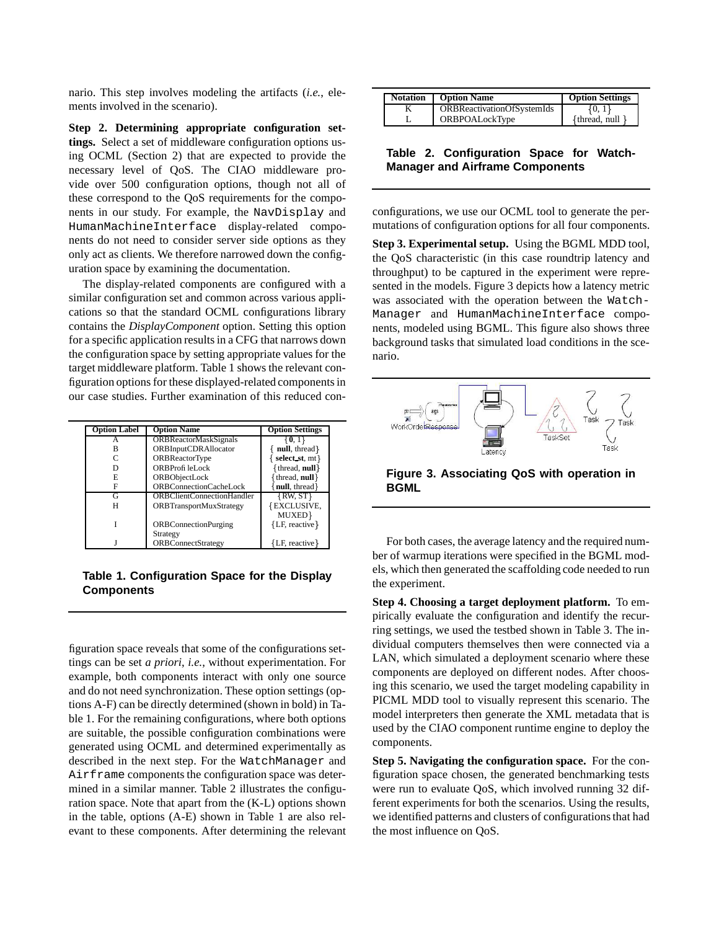nario. This step involves modeling the artifacts (*i.e.*, elements involved in the scenario).

**Step 2. Determining appropriate configuration settings.** Select a set of middleware configuration options using OCML (Section 2) that are expected to provide the necessary level of QoS. The CIAO middleware provide over 500 configuration options, though not all of these correspond to the QoS requirements for the components in our study. For example, the NavDisplay and HumanMachineInterface display-related components do not need to consider server side options as they only act as clients. We therefore narrowed down the configuration space by examining the documentation.

The display-related components are configured with a similar configuration set and common across various applications so that the standard OCML configurations library contains the *DisplayComponent* option. Setting this option for a specific application results in a CFG that narrows down the configuration space by setting appropriate values for the target middleware platform. Table 1 shows the relevant configuration options for these displayed-related components in our case studies. Further examination of this reduced con-

| <b>Option Label</b> | <b>Option Name</b>                | <b>Option Settings</b> |
|---------------------|-----------------------------------|------------------------|
| А                   | <b>ORBReactorMaskSignals</b>      | $\{0, 1\}$             |
| в                   | <b>ORBInputCDRAllocator</b>       | null, thread           |
|                     | <b>ORBReactorType</b>             | select st, mt}         |
| D                   | ORBProfileLock                    | $\{$ thread, null $\}$ |
| E                   | ORBObjectLock                     | thread, null }         |
| F                   | <b>ORBConnectionCacheLock</b>     | null, thread           |
| G                   | <b>ORBClientConnectionHandler</b> | $\{RW, ST\}$           |
| Н                   | <b>ORBTransportMuxStrategy</b>    | {EXCLUSIVE,            |
|                     |                                   | MUXED}                 |
|                     | <b>ORBConnectionPurging</b>       | {LF, reactive}         |
|                     | Strategy                          |                        |
|                     | <b>ORBConnectStrategy</b>         | {LF, reactive}         |

**Table 1. Configuration Space for the Display Components**

figuration space reveals that some of the configurations settings can be set *a priori*, *i.e.*, without experimentation. For example, both components interact with only one source and do not need synchronization. These option settings (options A-F) can be directly determined (shown in bold) in Table 1. For the remaining configurations, where both options are suitable, the possible configuration combinations were generated using OCML and determined experimentally as described in the next step. For the WatchManager and Airframe components the configuration space was determined in a similar manner. Table 2 illustrates the configuration space. Note that apart from the (K-L) options shown in the table, options (A-E) shown in Table 1 are also relevant to these components. After determining the relevant

| <b>Notation</b> | <b>Option Name</b>                | <b>Option Settings</b> |
|-----------------|-----------------------------------|------------------------|
|                 | <b>ORBReactivationOfSystemIds</b> | 40. I                  |
|                 | <b>ORBPOALockType</b>             | {thread, null          |

**Table 2. Configuration Space for Watch-Manager and Airframe Components**

configurations, we use our OCML tool to generate the permutations of configuration options for all four components.

**Step 3. Experimental setup.** Using the BGML MDD tool, the QoS characteristic (in this case roundtrip latency and throughput) to be captured in the experiment were represented in the models. Figure 3 depicts how a latency metric was associated with the operation between the Watch-Manager and HumanMachineInterface components, modeled using BGML. This figure also shows three background tasks that simulated load conditions in the scenario.



**Figure 3. Associating QoS with operation in BGML**

For both cases, the average latency and the required number of warmup iterations were specified in the BGML models, which then generated the scaffolding code needed to run the experiment.

**Step 4. Choosing a target deployment platform.** To empirically evaluate the configuration and identify the recurring settings, we used the testbed shown in Table 3. The individual computers themselves then were connected via a LAN, which simulated a deployment scenario where these components are deployed on different nodes. After choosing this scenario, we used the target modeling capability in PICML MDD tool to visually represent this scenario. The model interpreters then generate the XML metadata that is used by the CIAO component runtime engine to deploy the components.

**Step 5. Navigating the configuration space.** For the configuration space chosen, the generated benchmarking tests were run to evaluate QoS, which involved running 32 different experiments for both the scenarios. Using the results, we identified patterns and clusters of configurationsthat had the most influence on QoS.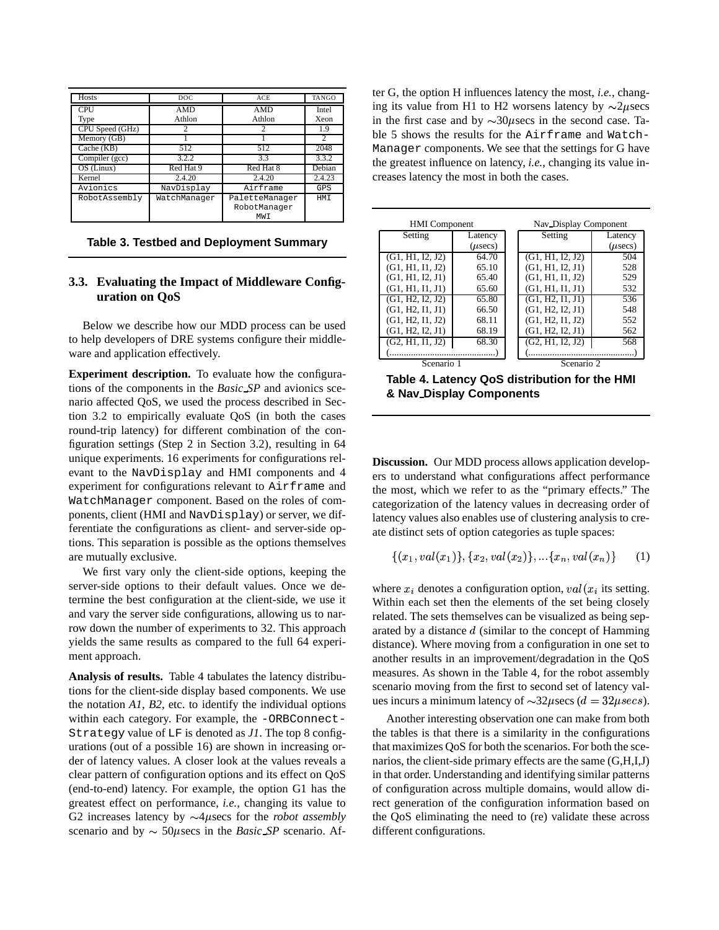| Hosts           | DOC          | ACE                                   | <b>TANGO</b> |
|-----------------|--------------|---------------------------------------|--------------|
| <b>CPU</b>      | <b>AMD</b>   | AMD                                   | <b>Intel</b> |
| Type            | Athlon       | Athlon                                | Xeon         |
| CPU Speed (GHz) |              | 2                                     | 1.9          |
| Memory (GB)     |              |                                       | 2            |
| Cache (KB)      | 512          | 512                                   | 2048         |
| Compiler (gcc)  | 3.2.2        | 3.3                                   | 3.3.2        |
| $OS$ (Linux)    | Red Hat 9    | Red Hat 8                             | Debian       |
| Kernel          | 2.4.20       | 2.4.20                                | 2.4.23       |
| Avionics        | NavDisplay   | Airframe                              | GPS          |
| RobotAssembly   | WatchManager | PaletteManager<br>RobotManager<br>MWI | <b>HMT</b>   |

**Table 3. Testbed and Deployment Summary**

#### **3.3. Evaluating the Impact of Middleware Configuration on QoS**

Below we describe how our MDD process can be used to help developers of DRE systems configure their middleware and application effectively.

**Experiment description.** To evaluate how the configurations of the components in the *Basic SP* and avionics scenario affected QoS, we used the process described in Section 3.2 to empirically evaluate QoS (in both the cases round-trip latency) for different combination of the configuration settings (Step 2 in Section 3.2), resulting in 64 unique experiments. 16 experiments for configurations relevant to the NavDisplay and HMI components and 4 experiment for configurations relevant to Airframe and WatchManager component. Based on the roles of components, client (HMI and NavDisplay) or server, we differentiate the configurations as client- and server-side options. This separation is possible as the options themselves are mutually exclusive.

We first vary only the client-side options, keeping the server-side options to their default values. Once we determine the best configuration at the client-side, we use it and vary the server side configurations, allowing us to narrow down the number of experiments to 32. This approach yields the same results as compared to the full 64 experiment approach.

**Analysis of results.** Table 4 tabulates the latency distributions for the client-side display based components. We use the notation *A1*, *B2*, etc. to identify the individual options within each category. For example, the -ORBConnect-Strategy value of LF is denoted as *J1*. The top 8 configurations (out of a possible 16) are shown in increasing order of latency values. A closer look at the values reveals a clear pattern of configuration options and its effect on QoS (end-to-end) latency. For example, the option G1 has the greatest effect on performance, *i.e.*, changing its value to G2 increases latency by  $\sim$  4 $\mu$ secs for the *robot assembly* scenario and by  $\sim$  50 $\mu$ secs in the *Basic SP* scenario. After G, the option H influences latency the most, *i.e.*, changing its value from H1 to H2 worsens latency by  $\sim$ 2 $\mu$ secs in the first case and by  $\sim 30\mu$  secs in the second case. Table 5 shows the results for the Airframe and Watch-Manager components. We see that the settings for G have the greatest influence on latency, *i.e.*, changing its value increases latency the most in both the cases.

| <b>HMI</b> Component |              |            | Nav Display Component |              |
|----------------------|--------------|------------|-----------------------|--------------|
| Setting              | Latency      |            | Setting               | Latency      |
|                      | $(\mu$ secs) |            |                       | $(\mu$ secs) |
| (G1, H1, I2, J2)     | 64.70        |            | (G1, H1, I2, J2)      | 504          |
| (G1, H1, I1, J2)     | 65.10        |            | (G1, H1, I2, J1)      | 528          |
| (G1, H1, I2, J1)     | 65.40        |            | (G1, H1, I1, J2)      | 529          |
| (G1, H1, I1, J1)     | 65.60        |            | (G1, H1, I1, J1)      | 532          |
| (G1, H2, I2, J2)     | 65.80        |            | (G1, H2, I1, J1)      | 536          |
| (G1, H2, I1, J1)     | 66.50        |            | (G1, H2, I2, J1)      | 548          |
| (G1, H2, I1, J2)     | 68.11        |            | (G1, H2, I1, J2)      | 552          |
| (G1, H2, I2, J1)     | 68.19        |            | (G1, H2, I2, J1)      | 562          |
| (G2, H1, H1, J2)     | 68.30        |            | (G2, H1, I2, J2)      | 568          |
|                      |              |            |                       |              |
| Scenario 1           |              | Scenario 2 |                       |              |

**Table 4. Latency QoS distribution for the HMI & Nav Display Components**

**Discussion.** Our MDD process allows application developers to understand what configurations affect performance the most, which we refer to as the "primary effects." The categorization of the latency values in decreasing order of latency values also enables use of clustering analysis to create distinct sets of option categories as tuple spaces:

$$
\{(x_1, val(x_1)\}, \{x_2, val(x_2)\}, \ldots \{x_n, val(x_n)\} \qquad (1)
$$

where  $x_i$  denotes a configuration option,  $val(x_i)$  its setting. Within each set then the elements of the set being closely related. The sets themselves can be visualized as being separated by a distance  $d$  (similar to the concept of Hamming distance). Where moving from a configuration in one set to another results in an improvement/degradation in the QoS measures. As shown in the Table 4, for the robot assembly scenario moving from the first to second set of latency values incurs a minimum latency of  $\sim$ 32 $\mu$ secs ( $d = 32 \mu$ secs).

Another interesting observation one can make from both the tables is that there is a similarity in the configurations that maximizes QoS for both the scenarios. For both the scenarios, the client-side primary effects are the same (G,H,I,J) in that order. Understanding and identifying similar patterns of configuration across multiple domains, would allow direct generation of the configuration information based on the QoS eliminating the need to (re) validate these across different configurations.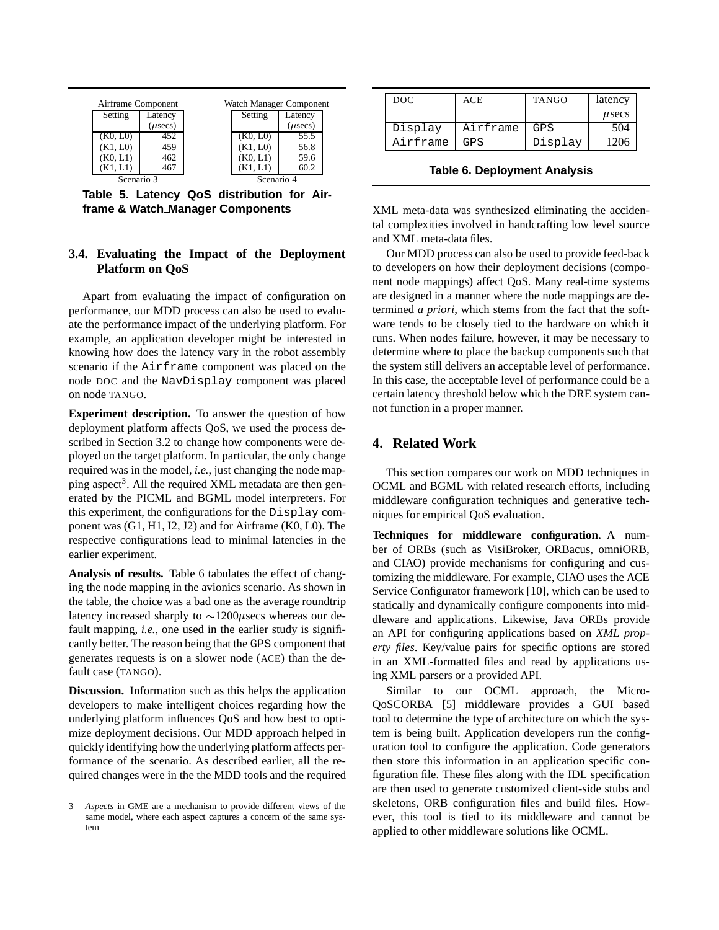

**Table 5. Latency QoS distribution for Airframe & Watch Manager Components**

## **3.4. Evaluating the Impact of the Deployment Platform on QoS**

Apart from evaluating the impact of configuration on performance, our MDD process can also be used to evaluate the performance impact of the underlying platform. For example, an application developer might be interested in knowing how does the latency vary in the robot assembly scenario if the Airframe component was placed on the node DOC and the NavDisplay component was placed on node TANGO.

**Experiment description.** To answer the question of how deployment platform affects QoS, we used the process described in Section 3.2 to change how components were deployed on the target platform. In particular, the only change required was in the model, *i.e.*, just changing the node mapping aspect<sup>3</sup>. All the required XML metadata are then generated by the PICML and BGML model interpreters. For this experiment, the configurations for the Display component was (G1, H1, I2, J2) and for Airframe (K0, L0). The respective configurations lead to minimal latencies in the earlier experiment.

**Analysis of results.** Table 6 tabulates the effect of changing the node mapping in the avionics scenario. As shown in the table, the choice was a bad one as the average roundtrip latency increased sharply to  $\sim$ 1200 $\mu$ secs whereas our default mapping, *i.e.*, one used in the earlier study is significantly better. The reason being that the GPS component that generates requests is on a slower node (ACE) than the default case (TANGO).

**Discussion.** Information such as this helps the application developers to make intelligent choices regarding how the underlying platform influences QoS and how best to optimize deployment decisions. Our MDD approach helped in quickly identifying how the underlying platform affects performance of the scenario. As described earlier, all the required changes were in the the MDD tools and the required

| DOC.     | ACE      | <b>TANGO</b> | latency      |
|----------|----------|--------------|--------------|
|          |          |              | $_{\mu$ secs |
| Display  | Airframe | GPS.         | 504          |
| Airframe | GPS      | Display      | 1206         |

**Table 6. Deployment Analysis**

XML meta-data was synthesized eliminating the accidental complexities involved in handcrafting low level source and XML meta-data files.

Our MDD process can also be used to provide feed-back to developers on how their deployment decisions (component node mappings) affect QoS. Many real-time systems are designed in a manner where the node mappings are determined *a priori*, which stems from the fact that the software tends to be closely tied to the hardware on which it runs. When nodes failure, however, it may be necessary to determine where to place the backup components such that the system still delivers an acceptable level of performance. In this case, the acceptable level of performance could be a certain latency threshold below which the DRE system cannot function in a proper manner.

## **4. Related Work**

This section compares our work on MDD techniques in OCML and BGML with related research efforts, including middleware configuration techniques and generative techniques for empirical QoS evaluation.

**Techniques for middleware configuration.** A number of ORBs (such as VisiBroker, ORBacus, omniORB, and CIAO) provide mechanisms for configuring and customizing the middleware. For example, CIAO uses the ACE Service Configurator framework [10], which can be used to statically and dynamically configure components into middleware and applications. Likewise, Java ORBs provide an API for configuring applications based on *XML property files*. Key/value pairs for specific options are stored in an XML-formatted files and read by applications using XML parsers or a provided API.

Similar to our OCML approach, the Micro-QoSCORBA [5] middleware provides a GUI based tool to determine the type of architecture on which the system is being built. Application developers run the configuration tool to configure the application. Code generators then store this information in an application specific configuration file. These files along with the IDL specification are then used to generate customized client-side stubs and skeletons, ORB configuration files and build files. However, this tool is tied to its middleware and cannot be applied to other middleware solutions like OCML.

<sup>3</sup> *Aspects* in GME are a mechanism to provide different views of the same model, where each aspect captures a concern of the same system